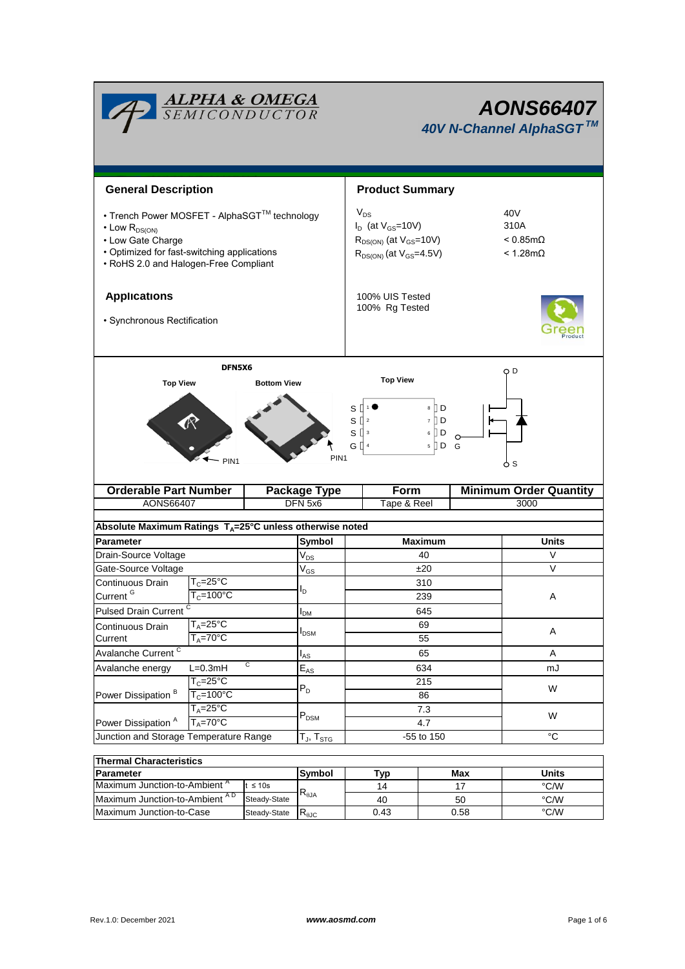|                                                                                                                                                                                       | <u>ALPHA &amp; OMEGA</u><br>SEMICONDUCTOR                                        |                                                       | <b>AONS66407</b><br>40V N-Channel AlphaSGT™                                                                                                                                  |                                       |  |  |  |  |
|---------------------------------------------------------------------------------------------------------------------------------------------------------------------------------------|----------------------------------------------------------------------------------|-------------------------------------------------------|------------------------------------------------------------------------------------------------------------------------------------------------------------------------------|---------------------------------------|--|--|--|--|
| <b>General Description</b>                                                                                                                                                            |                                                                                  |                                                       | <b>Product Summary</b>                                                                                                                                                       |                                       |  |  |  |  |
| • Trench Power MOSFET - AlphaSGT™ technology<br>$\cdot$ Low $R_{DS(ON)}$<br>• Low Gate Charge<br>• Optimized for fast-switching applications<br>• RoHS 2.0 and Halogen-Free Compliant |                                                                                  |                                                       | $V_{DS}$<br>40V<br>$I_D$ (at $V_{GS}$ =10V)<br>310A<br>$R_{DS(ON)}$ (at $V_{GS}$ =10V)<br>$< 0.85$ m $\Omega$<br>$R_{DS(ON)}$ (at $V_{GS}$ =4.5V)<br>$< 1.28 \text{m}\Omega$ |                                       |  |  |  |  |
| <b>Applications</b><br>· Synchronous Rectification                                                                                                                                    |                                                                                  |                                                       | 100% UIS Tested<br>100% Rg Tested                                                                                                                                            |                                       |  |  |  |  |
| <b>Top View</b>                                                                                                                                                                       | DFN5X6                                                                           | <b>Bottom View</b>                                    | <b>Top View</b>                                                                                                                                                              | O D                                   |  |  |  |  |
|                                                                                                                                                                                       | PIN <sub>1</sub>                                                                 | PIN <sub>1</sub>                                      | 8 D<br>S<br>$S^{2}$<br>ÌЮ<br>$\overline{7}$<br>$S^{13}$<br>DО<br>6<br>G I<br>$5$ D G                                                                                         | ბs                                    |  |  |  |  |
| <b>Orderable Part Number</b><br>AONS66407                                                                                                                                             |                                                                                  | <b>Package Type</b><br>DFN 5x6                        | Form<br>Tape & Reel                                                                                                                                                          | <b>Minimum Order Quantity</b><br>3000 |  |  |  |  |
|                                                                                                                                                                                       |                                                                                  |                                                       |                                                                                                                                                                              |                                       |  |  |  |  |
| Absolute Maximum Ratings $T_A = 25^\circ \text{C}$ unless otherwise noted                                                                                                             |                                                                                  |                                                       |                                                                                                                                                                              |                                       |  |  |  |  |
| <b>Parameter</b>                                                                                                                                                                      |                                                                                  | Symbol                                                | <b>Maximum</b>                                                                                                                                                               | Units                                 |  |  |  |  |
| Drain-Source Voltage                                                                                                                                                                  |                                                                                  | $\mathsf{V}_{\mathsf{DS}}$                            | 40                                                                                                                                                                           | V                                     |  |  |  |  |
| Gate-Source Voltage                                                                                                                                                                   |                                                                                  | V <sub>GS</sub>                                       | ±20                                                                                                                                                                          | V                                     |  |  |  |  |
| Continuous Drain                                                                                                                                                                      | $T_c = 25$ °C<br>l <sub>D</sub><br>Current <sup>G</sup><br>$T_c = 100^{\circ}$ C |                                                       | 310                                                                                                                                                                          |                                       |  |  |  |  |
|                                                                                                                                                                                       |                                                                                  |                                                       | 239                                                                                                                                                                          | Α                                     |  |  |  |  |
| Pulsed Drain Current <sup>C</sup>                                                                                                                                                     |                                                                                  | I <sub>DM</sub>                                       | 645                                                                                                                                                                          |                                       |  |  |  |  |
| $T_A = 25^{\circ}C$<br>Continuous Drain<br>$T_A = 70^\circ C$<br>Current                                                                                                              |                                                                                  | $I_{DSM}$                                             | 69                                                                                                                                                                           | Α                                     |  |  |  |  |
|                                                                                                                                                                                       |                                                                                  |                                                       | 55                                                                                                                                                                           |                                       |  |  |  |  |
| Avalanche Current <sup>C</sup><br>C                                                                                                                                                   |                                                                                  | l <sub>AS</sub>                                       | 65                                                                                                                                                                           | Α                                     |  |  |  |  |
| Avalanche energy<br>$L=0.3mH$<br>$T_c = 25^{\circ}C$                                                                                                                                  |                                                                                  | $E_{\mathrm{AS}}$                                     | 634                                                                                                                                                                          | mJ                                    |  |  |  |  |
|                                                                                                                                                                                       |                                                                                  | $P_D$                                                 | 215                                                                                                                                                                          | W                                     |  |  |  |  |
| Power Dissipation <sup>B</sup>                                                                                                                                                        | $T_c = 100^{\circ}$ C                                                            |                                                       | 86                                                                                                                                                                           |                                       |  |  |  |  |
| $T_A = 25^{\circ}C$<br>Power Dissipation <sup>A</sup><br>$T_A = 70$ °C                                                                                                                |                                                                                  | $\mathsf{P}_\mathsf{DSM}$                             | 7.3<br>4.7                                                                                                                                                                   | W                                     |  |  |  |  |
| Junction and Storage Temperature Range                                                                                                                                                |                                                                                  | $\mathsf{T}_{\mathsf{J}},\,\mathsf{T}_{\mathsf{STG}}$ | -55 to 150                                                                                                                                                                   | $^{\circ}C$                           |  |  |  |  |
|                                                                                                                                                                                       |                                                                                  |                                                       |                                                                                                                                                                              |                                       |  |  |  |  |
| <b>Thermal Characteristics</b>                                                                                                                                                        |                                                                                  |                                                       |                                                                                                                                                                              |                                       |  |  |  |  |
| <b>Doromoto</b>                                                                                                                                                                       |                                                                                  | $_{\text{Cumbal}}$                                    | T <sub>1</sub>                                                                                                                                                               | I <sub>left</sub><br>Mov              |  |  |  |  |

| <u>THEITIM UNAIAUCHSUUS</u>              |              |                |      |       |      |  |  |  |  |
|------------------------------------------|--------------|----------------|------|-------|------|--|--|--|--|
| <b>IParameter</b>                        | Symbol       | ™vp            | Max  | Units |      |  |  |  |  |
| Maximum Junction-to-Ambient <sup>"</sup> | $\leq 10s$   |                | 14   |       | °C/W |  |  |  |  |
| Maximum Junction-to-Ambient AD           | Steady-State | $R_{\theta$ JA | 40   | 50    | °C/W |  |  |  |  |
| Maximum Junction-to-Case                 | Steady-State | $R_{\theta$ JC | 0.43 | 0.58  | °C/W |  |  |  |  |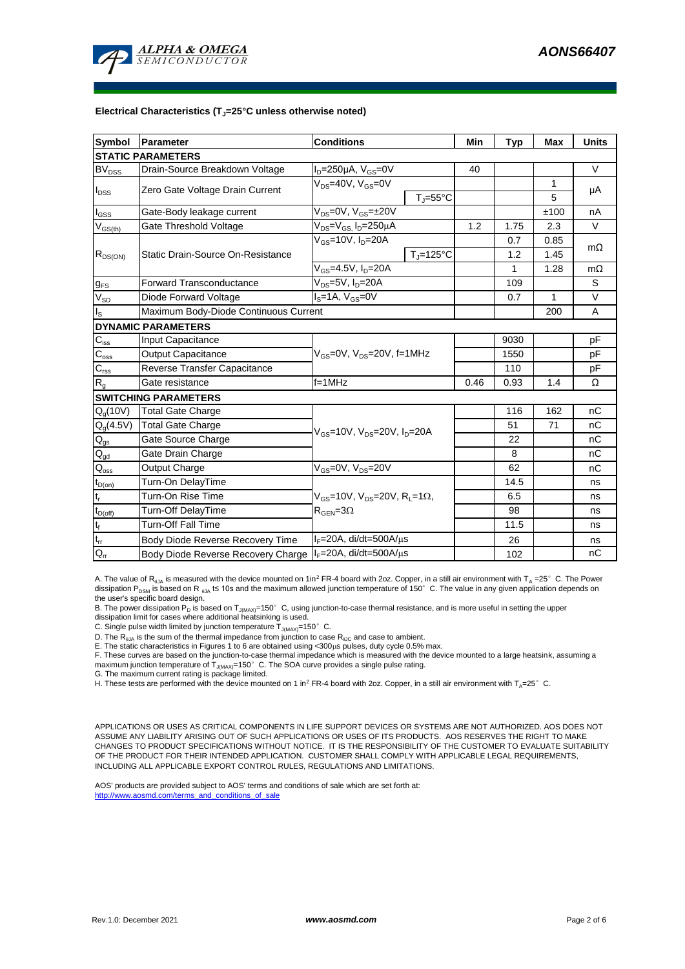

## **Electrical Characteristics (TJ=25°C unless otherwise noted)**

| <b>Symbol</b>                          | Parameter                             | <b>Conditions</b>                                                                                     |                                | Min  | <b>Typ</b> | <b>Max</b>   | <b>Units</b> |  |  |  |
|----------------------------------------|---------------------------------------|-------------------------------------------------------------------------------------------------------|--------------------------------|------|------------|--------------|--------------|--|--|--|
| <b>STATIC PARAMETERS</b>               |                                       |                                                                                                       |                                |      |            |              |              |  |  |  |
| $BV_{\underline{DSS}}$                 | Drain-Source Breakdown Voltage        | $I_D = 250 \mu A$ , $V_{GS} = 0V$                                                                     |                                | 40   |            |              | $\vee$       |  |  |  |
| $I_{DSS}$                              | Zero Gate Voltage Drain Current       | V <sub>ns</sub> =40V, V <sub>GS</sub> =0V                                                             |                                |      |            | 1            |              |  |  |  |
|                                        |                                       |                                                                                                       | $T_i = 55^{\circ}C$            |      |            | 5            | μA           |  |  |  |
| $\mathsf{I}_{\mathsf{GSS}}$            | Gate-Body leakage current             | $\overline{V_{DS}}$ =0V, V <sub>GS</sub> =±20V                                                        |                                |      |            | ±100         | nA           |  |  |  |
| $\mathsf{V}_{\mathsf{GS(th)}}$         | Gate Threshold Voltage                | $V_{DS} = V_{GS}$ , $I_D = 250 \mu A$                                                                 |                                | 1.2  | 1.75       | 2.3          | $\vee$       |  |  |  |
|                                        | Static Drain-Source On-Resistance     | $V_{GS}$ =10V, $I_{D}$ =20A                                                                           |                                |      | 0.7        | 0.85         | $m\Omega$    |  |  |  |
| $R_{DS(ON)}$                           |                                       |                                                                                                       | $T_{\parallel} = 125^{\circ}C$ |      | 1.2        | 1.45         |              |  |  |  |
|                                        |                                       | V <sub>GS</sub> =4.5V, I <sub>D</sub> =20A                                                            |                                |      | 1          | 1.28         | $m\Omega$    |  |  |  |
| $g_{FS}$                               | <b>Forward Transconductance</b>       | $V_{DS}$ =5V, $I_D$ =20A                                                                              |                                |      | 109        |              | S            |  |  |  |
| $V_{SD}$                               | Diode Forward Voltage                 | $IS=1A, VGS=0V$                                                                                       |                                |      | 0.7        | $\mathbf{1}$ | $\vee$       |  |  |  |
| ls                                     | Maximum Body-Diode Continuous Current |                                                                                                       |                                |      |            | 200          | Α            |  |  |  |
| <b>DYNAMIC PARAMETERS</b>              |                                       |                                                                                                       |                                |      |            |              |              |  |  |  |
| $C_{\text{iss}}$                       | Input Capacitance                     | V <sub>GS</sub> =0V, V <sub>DS</sub> =20V, f=1MHz                                                     |                                |      | 9030       |              | pF           |  |  |  |
| $C_{\rm oss}$                          | Output Capacitance                    |                                                                                                       |                                |      | 1550       |              | pF           |  |  |  |
| $C_{\rm rss}$                          | Reverse Transfer Capacitance          |                                                                                                       |                                |      | 110        |              | pF           |  |  |  |
| $R_{g}$                                | Gate resistance                       | $f=1$ MHz                                                                                             |                                | 0.46 | 0.93       | 1.4          | Ω            |  |  |  |
|                                        | <b>SWITCHING PARAMETERS</b>           |                                                                                                       |                                |      |            |              |              |  |  |  |
| Q <sub>g</sub> (10V)                   | <b>Total Gate Charge</b>              | V <sub>GS</sub> =10V, V <sub>DS</sub> =20V, I <sub>D</sub> =20A                                       |                                |      | 116        | 162          | nC           |  |  |  |
| $Q_g(4.5V)$                            | Total Gate Charge                     |                                                                                                       |                                |      | 51         | 71           | nC           |  |  |  |
| $\mathsf{Q}_{\text{gs}}$               | Gate Source Charge                    |                                                                                                       |                                |      | 22         |              | nC           |  |  |  |
| $\mathsf{Q}_{\underline{\mathsf{gd}}}$ | Gate Drain Charge                     |                                                                                                       |                                |      | 8          |              | nC           |  |  |  |
| $Q_{\rm oss}$                          | Output Charge                         | $V_{GS}$ =0V, $V_{DS}$ =20V                                                                           |                                |      | 62         |              | nC           |  |  |  |
| $t_{D(on)}$                            | Turn-On DelayTime                     |                                                                                                       |                                |      | 14.5       |              | ns           |  |  |  |
| $t_r$                                  | Turn-On Rise Time                     | $V_{\text{GS}} = 10V$ , $V_{\text{DS}} = 20V$ , $R_{\text{I}} = 1\Omega$ ,<br>$\rm R_{GEN} = 3\Omega$ |                                |      | 6.5        |              | ns           |  |  |  |
| $t_{D(off)}$                           | Turn-Off DelayTime                    |                                                                                                       |                                |      | 98         |              | ns           |  |  |  |
| t <sub>f</sub>                         | <b>Turn-Off Fall Time</b>             |                                                                                                       |                                |      | 11.5       |              | ns           |  |  |  |
| $\mathfrak{t}_{\text{rr}}$             | Body Diode Reverse Recovery Time      | $I_F = 20A$ , di/dt=500A/ $\mu$ s                                                                     |                                |      | 26         |              | ns           |  |  |  |
| $Q_{rr}$                               | Body Diode Reverse Recovery Charge    | $I_F = 20A$ , di/dt=500A/ $\mu$ s                                                                     |                                |      | 102        |              | nC           |  |  |  |

A. The value of R<sub>aJA</sub> is measured with the device mounted on 1in<sup>2</sup> FR-4 board with 2oz. Copper, in a still air environment with T<sub>A</sub> =25°C. The Power dissipation P<sub>DSM</sub> is based on R  $_{0.0A}$  t≤ 10s and the maximum allowed junction temperature of 150°C. The value in any given application depends on the user's specific board design.

B. The power dissipation P<sub>D</sub> is based on T<sub>J(MAX)</sub>=150°C, using junction-to-case thermal resistance, and is more useful in setting the upper<br>dissipation limit for cases where additional heatsinking is used.

C. Single pulse width limited by junction temperature  $T_{J(MAX)}$ =150°C.

D. The  $R_{qJA}$  is the sum of the thermal impedance from junction to case  $R_{qJC}$  and case to ambient.

E. The static characteristics in Figures 1 to 6 are obtained using <300 $\mu$ s pulses, duty cycle 0.5% max.

F. These curves are based on the junction-to-case thermal impedance which is measured with the device mounted to a large heatsink, assuming a<br>maximum junction temperature of T<sub>JMAX)</sub>=150°C. The SOA curve provides a single

G. The maximum current rating is package limited.

H. These tests are performed with the device mounted on 1 in<sup>2</sup> FR-4 board with 2oz. Copper, in a still air environment with T<sub>A</sub>=25°C.

APPLICATIONS OR USES AS CRITICAL COMPONENTS IN LIFE SUPPORT DEVICES OR SYSTEMS ARE NOT AUTHORIZED. AOS DOES NOT ASSUME ANY LIABILITY ARISING OUT OF SUCH APPLICATIONS OR USES OF ITS PRODUCTS. AOS RESERVES THE RIGHT TO MAKE CHANGES TO PRODUCT SPECIFICATIONS WITHOUT NOTICE. IT IS THE RESPONSIBILITY OF THE CUSTOMER TO EVALUATE SUITABILITY OF THE PRODUCT FOR THEIR INTENDED APPLICATION. CUSTOMER SHALL COMPLY WITH APPLICABLE LEGAL REQUIREMENTS, INCLUDING ALL APPLICABLE EXPORT CONTROL RULES, REGULATIONS AND LIMITATIONS.

AOS' products are provided subject to AOS' terms and conditions of sale which are set forth at: http://www.aosmd.com/terms\_and\_conditions\_of\_sale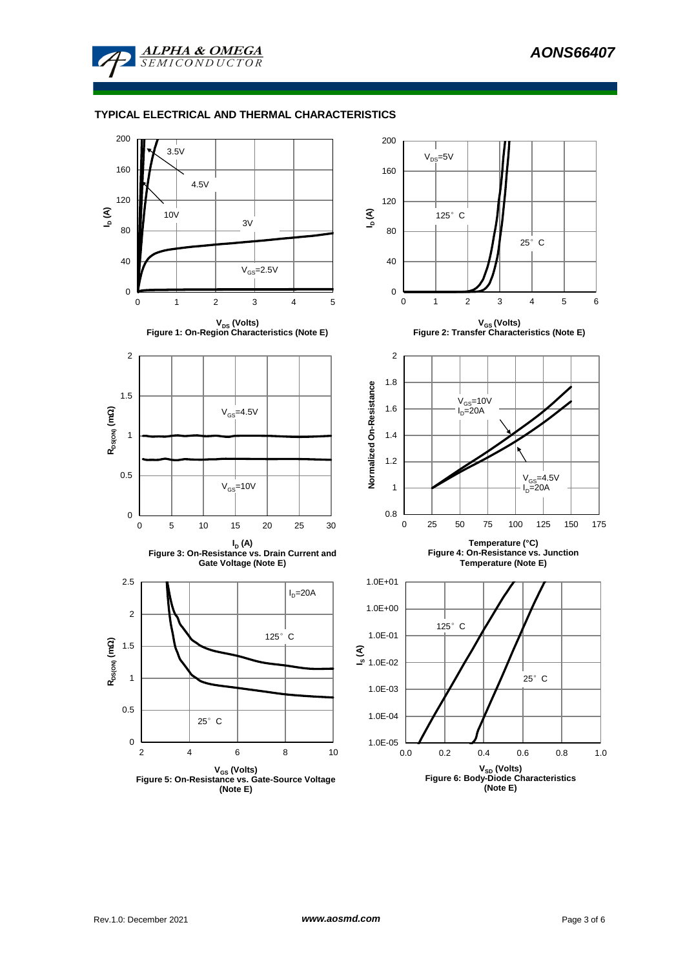

**ALPHA & OMEGA SEMICONDUCTOR** 

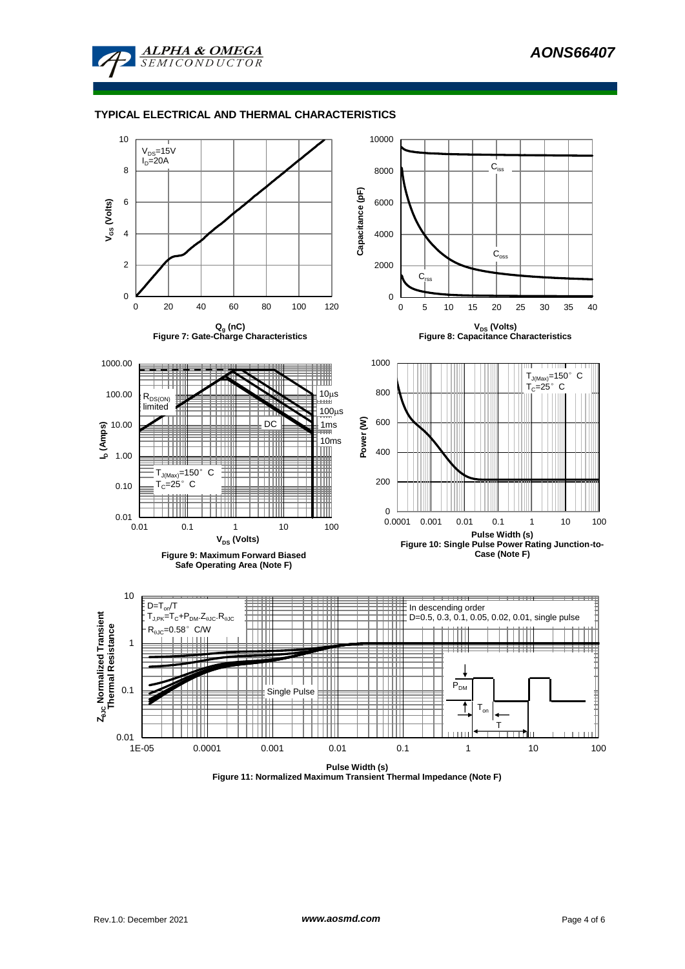

## **TYPICAL ELECTRICAL AND THERMAL CHARACTERISTICS**



**Figure 11: Normalized Maximum Transient Thermal Impedance (Note F)**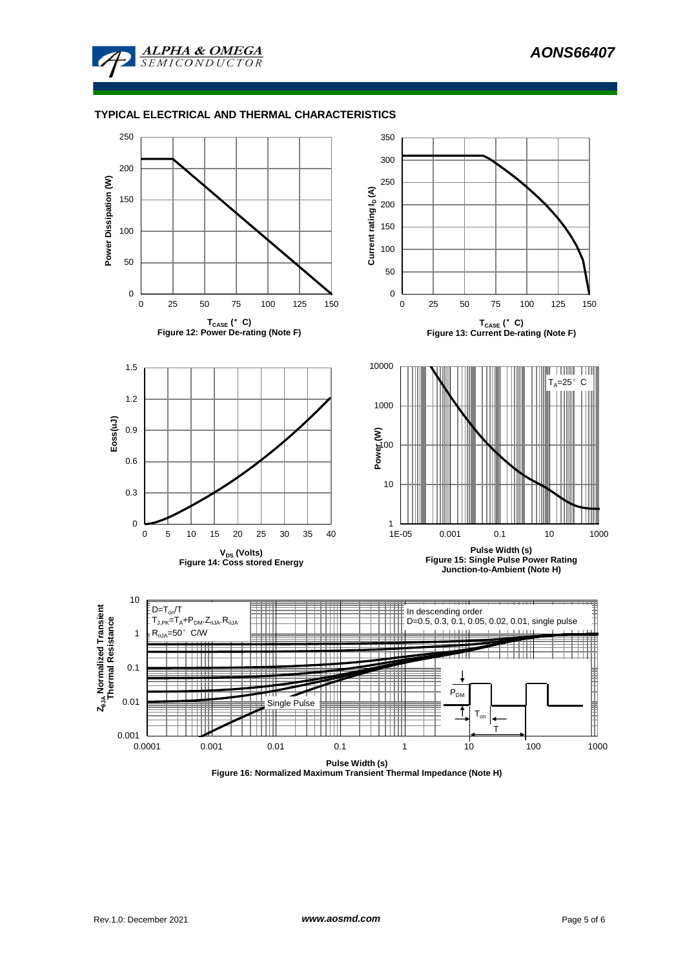

## **TYPICAL ELECTRICAL AND THERMAL CHARACTERISTICS**